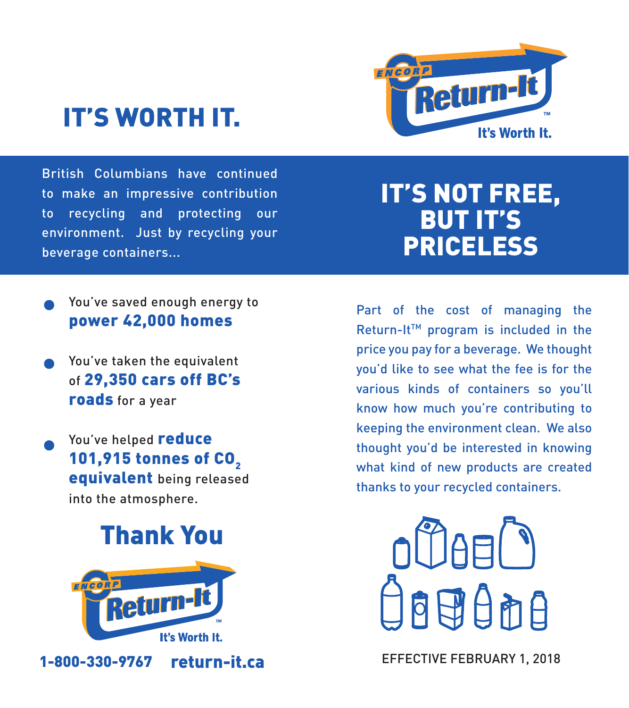# IT'S WORTH IT.



British Columbians have continued to make an impressive contribution to recycling and protecting our environment. Just by recycling your beverage containers...

## IT'S NOT FREE, BUT IT'S PRICELESS

- You've saved enough energy to power 42,000 homes
- You've taken the equivalent of 29,350 cars off BC's roads for a year
- You've helped reduce 101,915 tonnes of CO<sub>2</sub> equivalent being released into the atmosphere.

## Thank You



Part of the cost of managing the Return-It™ program is included in the price you pay for a beverage. We thought you'd like to see what the fee is for the various kinds of containers so you'll know how much you're contributing to keeping the environment clean. We also thought you'd be interested in knowing what kind of new products are created thanks to your recycled containers.



return-it.ca EFFECTIVE FEBRUARY 1, 2018